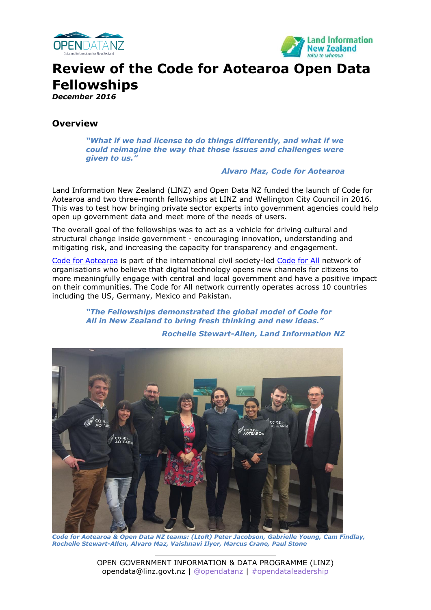



# **Review of the Code for Aotearoa Open Data Fellowships**

*December 2016*

## **Overview**

*"What if we had license to do things differently, and what if we could reimagine the way that those issues and challenges were given to us."* 

#### *Alvaro Maz, Code for Aotearoa*

Land Information New Zealand (LINZ) and Open Data NZ funded the launch of Code for Aotearoa and two three-month fellowships at LINZ and Wellington City Council in 2016. This was to test how bringing private sector experts into government agencies could help open up government data and meet more of the needs of users.

The overall goal of the fellowships was to act as a vehicle for driving cultural and structural change inside government - encouraging innovation, understanding and mitigating risk, and increasing the capacity for transparency and engagement.

[Code for Aotearoa](http://www.codeforaotearoa.org/) is part of the international civil society-led [Code for All](https://codeforall.org/) network of organisations who believe that digital technology opens new channels for citizens to more meaningfully engage with central and local government and have a positive impact on their communities. The Code for All network currently operates across 10 countries including the US, Germany, Mexico and Pakistan.

> *"The Fellowships demonstrated the global model of Code for All in New Zealand to bring fresh thinking and new ideas."*

#### *Rochelle Stewart-Allen, Land Information NZ*



*Code for Aotearoa & Open Data NZ teams: (LtoR) Peter Jacobson, Gabrielle Young, Cam Findlay, Rochelle Stewart-Allen, Alvaro Maz, Vaishnavi Ilyer, Marcus Crane, Paul Stone*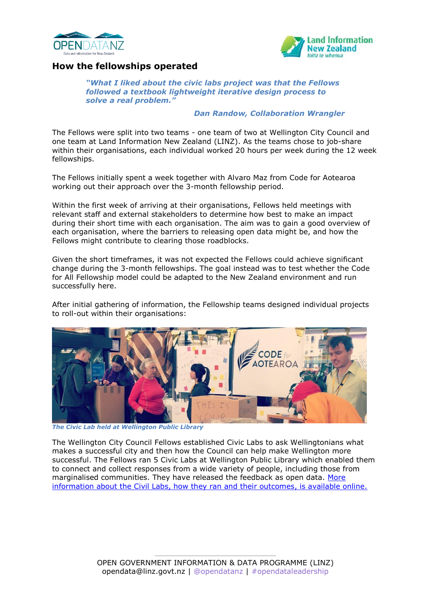



## **How the fellowships operated**

*"What I liked about the civic labs project was that the Fellows followed a textbook lightweight iterative design process to solve a real problem."* 

#### *Dan Randow, Collaboration Wrangler*

The Fellows were split into two teams - one team of two at Wellington City Council and one team at Land Information New Zealand (LINZ). As the teams chose to job-share within their organisations, each individual worked 20 hours per week during the 12 week fellowships.

The Fellows initially spent a week together with Alvaro Maz from Code for Aotearoa working out their approach over the 3-month fellowship period.

Within the first week of arriving at their organisations, Fellows held meetings with relevant staff and external stakeholders to determine how best to make an impact during their short time with each organisation. The aim was to gain a good overview of each organisation, where the barriers to releasing open data might be, and how the Fellows might contribute to clearing those roadblocks.

Given the short timeframes, it was not expected the Fellows could achieve significant change during the 3-month fellowships. The goal instead was to test whether the Code for All Fellowship model could be adapted to the New Zealand environment and run successfully here.

After initial gathering of information, the Fellowship teams designed individual projects to roll-out within their organisations:



*The Civic Lab held at Wellington Public Library*

The Wellington City Council Fellows established Civic Labs to ask Wellingtonians what makes a successful city and then how the Council can help make Wellington more successful. The Fellows ran 5 Civic Labs at Wellington Public Library which enabled them to connect and collect responses from a wide variety of people, including those from marginalised communities. They have released the feedback as open data. [More](http://www.codeforaotearoa.org/civic-lab/) [information about the Civil Labs, how they ran and their outcomes, is available online.](http://www.codeforaotearoa.org/civic-lab/)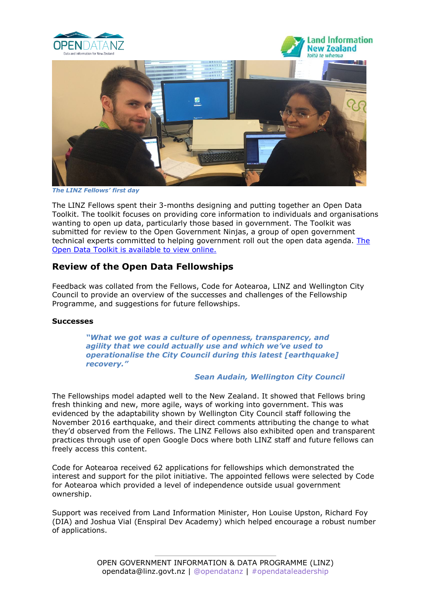

*The LINZ Fellows' first day*

The LINZ Fellows spent their 3-months designing and putting together an Open Data Toolkit. The toolkit focuses on providing core information to individuals and organisations wanting to open up data, particularly those based in government. The Toolkit was submitted for review to the Open Government Ninjas, a group of open government technical experts committed to helping government roll out the open data agenda. [The](https://codeforaotearoa.github.io/)  [Open Data Toolkit is available to view online.](https://codeforaotearoa.github.io/)

## **Review of the Open Data Fellowships**

Feedback was collated from the Fellows, Code for Aotearoa, LINZ and Wellington City Council to provide an overview of the successes and challenges of the Fellowship Programme, and suggestions for future fellowships.

#### **Successes**

*"What we got was a culture of openness, transparency, and agility that we could actually use and which we've used to operationalise the City Council during this latest [earthquake] recovery."* 

#### *Sean Audain, Wellington City Council*

The Fellowships model adapted well to the New Zealand. It showed that Fellows bring fresh thinking and new, more agile, ways of working into government. This was evidenced by the adaptability shown by Wellington City Council staff following the November 2016 earthquake, and their direct comments attributing the change to what they'd observed from the Fellows. The LINZ Fellows also exhibited open and transparent practices through use of open Google Docs where both LINZ staff and future fellows can freely access this content.

Code for Aotearoa received 62 applications for fellowships which demonstrated the interest and support for the pilot initiative. The appointed fellows were selected by Code for Aotearoa which provided a level of independence outside usual government ownership.

Support was received from Land Information Minister, Hon Louise Upston, Richard Foy (DIA) and Joshua Vial (Enspiral Dev Academy) which helped encourage a robust number of applications.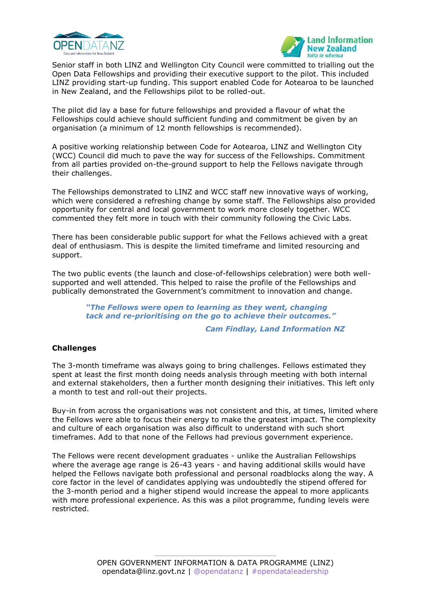



Senior staff in both LINZ and Wellington City Council were committed to trialling out the Open Data Fellowships and providing their executive support to the pilot. This included LINZ providing start-up funding. This support enabled Code for Aotearoa to be launched in New Zealand, and the Fellowships pilot to be rolled-out.

The pilot did lay a base for future fellowships and provided a flavour of what the Fellowships could achieve should sufficient funding and commitment be given by an organisation (a minimum of 12 month fellowships is recommended).

A positive working relationship between Code for Aotearoa, LINZ and Wellington City (WCC) Council did much to pave the way for success of the Fellowships. Commitment from all parties provided on-the-ground support to help the Fellows navigate through their challenges.

The Fellowships demonstrated to LINZ and WCC staff new innovative ways of working, which were considered a refreshing change by some staff. The Fellowships also provided opportunity for central and local government to work more closely together. WCC commented they felt more in touch with their community following the Civic Labs.

There has been considerable public support for what the Fellows achieved with a great deal of enthusiasm. This is despite the limited timeframe and limited resourcing and support.

The two public events (the launch and close-of-fellowships celebration) were both wellsupported and well attended. This helped to raise the profile of the Fellowships and publically demonstrated the Government's commitment to innovation and change.

> *"The Fellows were open to learning as they went, changing tack and re-prioritising on the go to achieve their outcomes."*

> > *Cam Findlay, Land Information NZ*

#### **Challenges**

The 3-month timeframe was always going to bring challenges. Fellows estimated they spent at least the first month doing needs analysis through meeting with both internal and external stakeholders, then a further month designing their initiatives. This left only a month to test and roll-out their projects.

Buy-in from across the organisations was not consistent and this, at times, limited where the Fellows were able to focus their energy to make the greatest impact. The complexity and culture of each organisation was also difficult to understand with such short timeframes. Add to that none of the Fellows had previous government experience.

The Fellows were recent development graduates - unlike the Australian Fellowships where the average age range is 26-43 years - and having additional skills would have helped the Fellows navigate both professional and personal roadblocks along the way. A core factor in the level of candidates applying was undoubtedly the stipend offered for the 3-month period and a higher stipend would increase the appeal to more applicants with more professional experience. As this was a pilot programme, funding levels were restricted.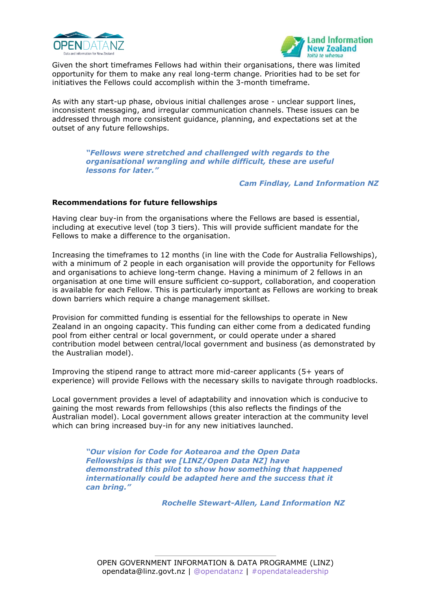



Given the short timeframes Fellows had within their organisations, there was limited opportunity for them to make any real long-term change. Priorities had to be set for initiatives the Fellows could accomplish within the 3-month timeframe.

As with any start-up phase, obvious initial challenges arose - unclear support lines, inconsistent messaging, and irregular communication channels. These issues can be addressed through more consistent guidance, planning, and expectations set at the outset of any future fellowships.

> *"Fellows were stretched and challenged with regards to the organisational wrangling and while difficult, these are useful lessons for later."*

> > *Cam Findlay, Land Information NZ*

#### **Recommendations for future fellowships**

Having clear buy-in from the organisations where the Fellows are based is essential, including at executive level (top 3 tiers). This will provide sufficient mandate for the Fellows to make a difference to the organisation.

Increasing the timeframes to 12 months (in line with the Code for Australia Fellowships), with a minimum of 2 people in each organisation will provide the opportunity for Fellows and organisations to achieve long-term change. Having a minimum of 2 fellows in an organisation at one time will ensure sufficient co-support, collaboration, and cooperation is available for each Fellow. This is particularly important as Fellows are working to break down barriers which require a change management skillset.

Provision for committed funding is essential for the fellowships to operate in New Zealand in an ongoing capacity. This funding can either come from a dedicated funding pool from either central or local government, or could operate under a shared contribution model between central/local government and business (as demonstrated by the Australian model).

Improving the stipend range to attract more mid-career applicants (5+ years of experience) will provide Fellows with the necessary skills to navigate through roadblocks.

Local government provides a level of adaptability and innovation which is conducive to gaining the most rewards from fellowships (this also reflects the findings of the Australian model). Local government allows greater interaction at the community level which can bring increased buy-in for any new initiatives launched.

> *"Our vision for Code for Aotearoa and the Open Data Fellowships is that we [LINZ/Open Data NZ] have demonstrated this pilot to show how something that happened internationally could be adapted here and the success that it can bring."*

> > *Rochelle Stewart-Allen, Land Information NZ*